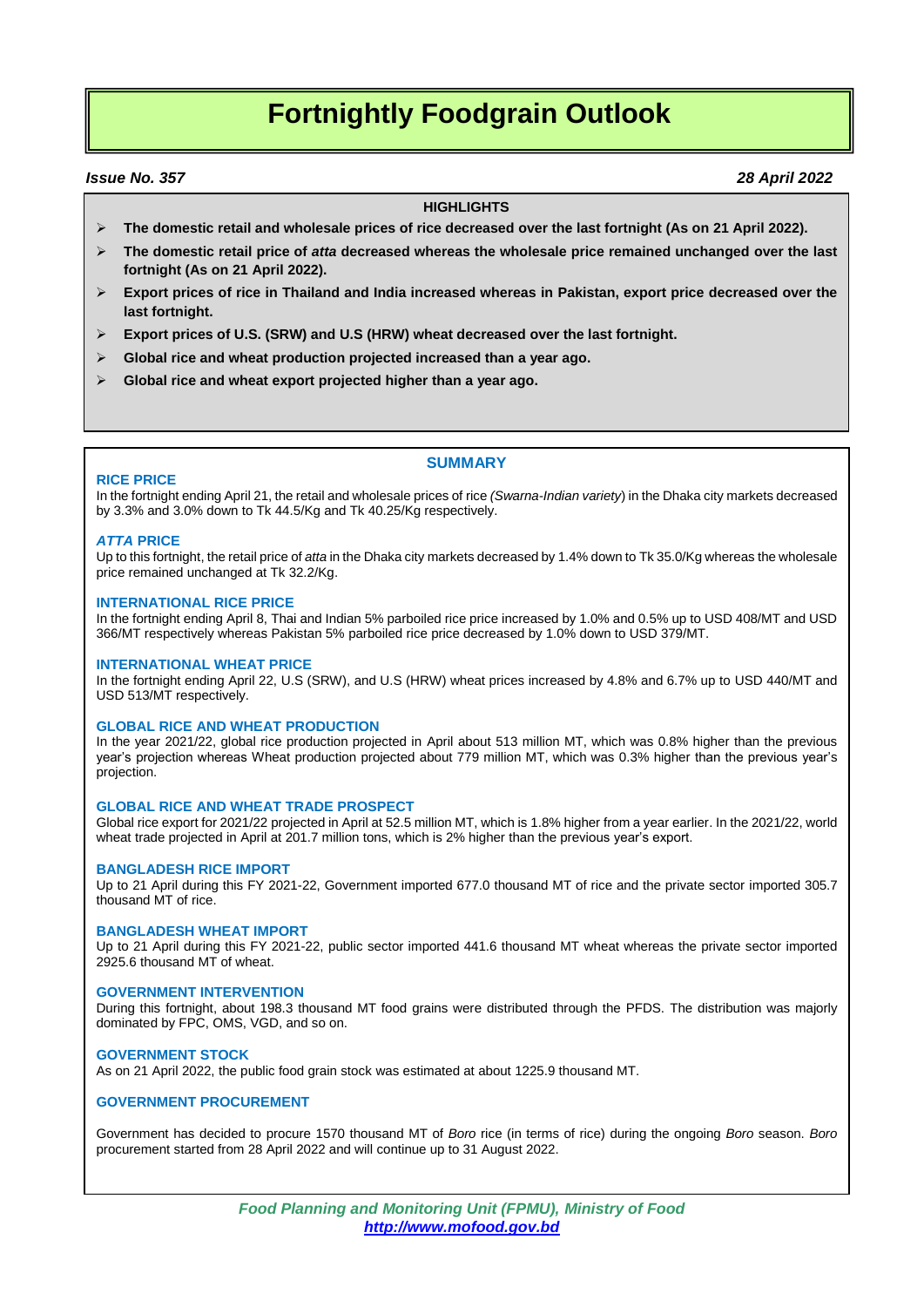## **Fortnightly Foodgrain Outlook**

#### *Issue No. 357 28 April 2022*

#### **HIGHLIGHTS**

- **The domestic retail and wholesale prices of rice decreased over the last fortnight (As on 21 April 2022).**
- **The domestic retail price of** *atta* **decreased whereas the wholesale price remained unchanged over the last fortnight (As on 21 April 2022).**
- **Export prices of rice in Thailand and India increased whereas in Pakistan, export price decreased over the last fortnight.**
- **Export prices of U.S. (SRW) and U.S (HRW) wheat decreased over the last fortnight.**
- **Global rice and wheat production projected increased than a year ago.**
- **Global rice and wheat export projected higher than a year ago.**

#### **SUMMARY**

#### **RICE PRICE**

In the fortnight ending April 21, the retail and wholesale prices of rice *(Swarna-Indian variety*) in the Dhaka city markets decreased by 3.3% and 3.0% down to Tk 44.5/Kg and Tk 40.25/Kg respectively.

#### *ATTA* **PRICE**

Up to this fortnight, the retail price of *atta* in the Dhaka city markets decreased by 1.4% down to Tk 35.0/Kg whereas the wholesale price remained unchanged at Tk 32.2/Kg.

#### **INTERNATIONAL RICE PRICE**

In the fortnight ending April 8, Thai and Indian 5% parboiled rice price increased by 1.0% and 0.5% up to USD 408/MT and USD 366/MT respectively whereas Pakistan 5% parboiled rice price decreased by 1.0% down to USD 379/MT.

#### **INTERNATIONAL WHEAT PRICE**

In the fortnight ending April 22, U.S (SRW), and U.S (HRW) wheat prices increased by 4.8% and 6.7% up to USD 440/MT and USD 513/MT respectively.

#### **GLOBAL RICE AND WHEAT PRODUCTION**

In the year 2021/22, global rice production projected in April about 513 million MT, which was 0.8% higher than the previous year's projection whereas Wheat production projected about 779 million MT, which was 0.3% higher than the previous year's projection.

#### **GLOBAL RICE AND WHEAT TRADE PROSPECT**

Global rice export for 2021/22 projected in April at 52.5 million MT, which is 1.8% higher from a year earlier. In the 2021/22, world wheat trade projected in April at 201.7 million tons, which is 2% higher than the previous year's export.

#### **BANGLADESH RICE IMPORT**

Up to 21 April during this FY 2021-22, Government imported 677.0 thousand MT of rice and the private sector imported 305.7 thousand MT of rice.

#### **BANGLADESH WHEAT IMPORT**

Up to 21 April during this FY 2021-22, public sector imported 441.6 thousand MT wheat whereas the private sector imported 2925.6 thousand MT of wheat.

#### **GOVERNMENT INTERVENTION**

During this fortnight, about 198.3 thousand MT food grains were distributed through the PFDS. The distribution was majorly dominated by FPC, OMS, VGD, and so on.

#### **GOVERNMENT STOCK**

As on 21 April 2022, the public food grain stock was estimated at about 1225.9 thousand MT.

#### **GOVERNMENT PROCUREMENT**

Government has decided to procure 1570 thousand MT of *Boro* rice (in terms of rice) during the ongoing *Boro* season. *Boro* procurement started from 28 April 2022 and will continue up to 31 August 2022.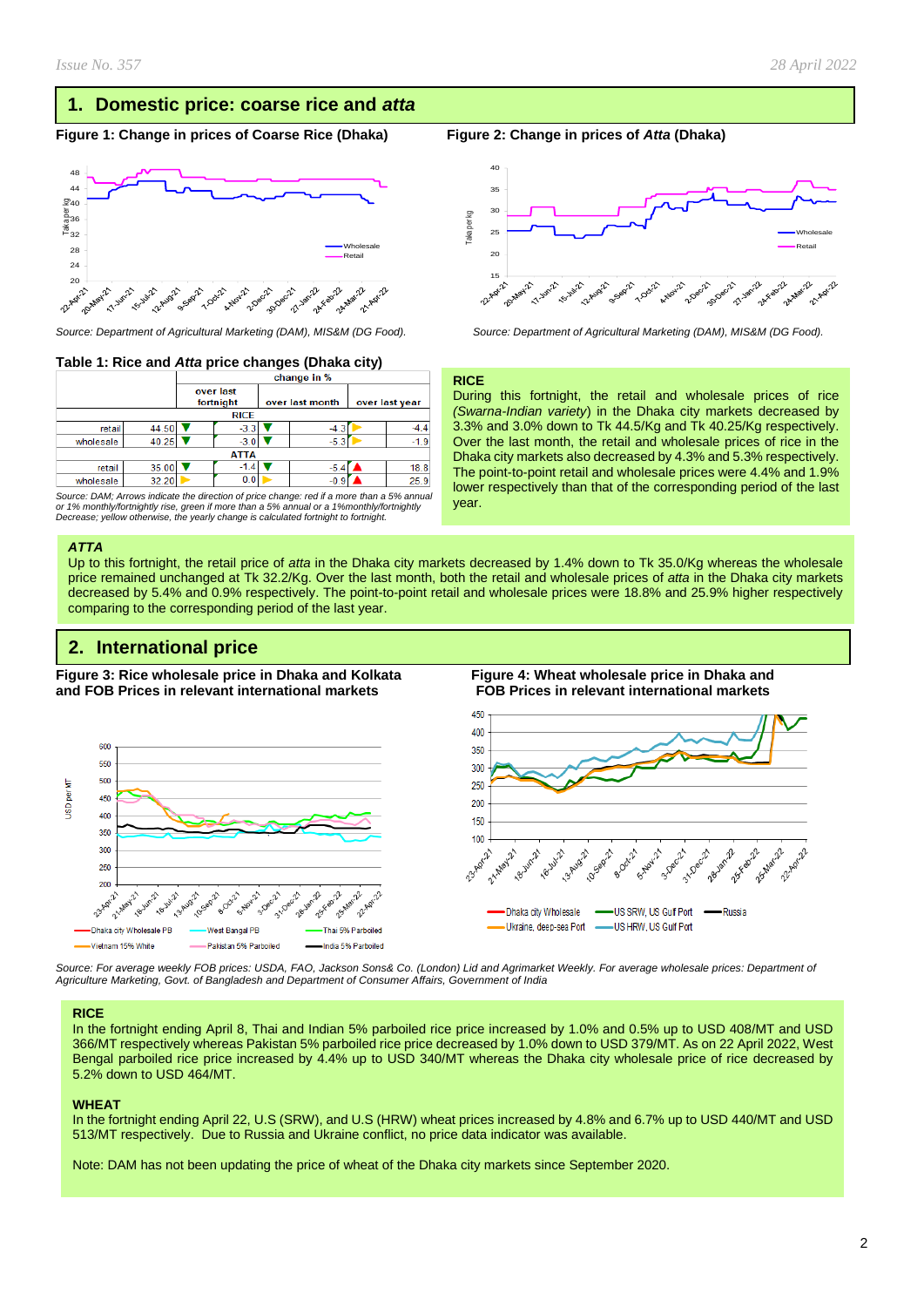### **1. Domestic price: coarse rice and** *atta*

#### **Figure 1: Change in prices of Coarse Rice (Dhaka) Figure 2: Change in prices of** *Atta* **(Dhaka)**



#### **Table 1: Rice and** *Atta* **price changes (Dhaka city)**

|           |             | change in %            |        |                 |        |                |        |  |  |  |
|-----------|-------------|------------------------|--------|-----------------|--------|----------------|--------|--|--|--|
|           |             | over last<br>fortnight |        | over last month |        | over last year |        |  |  |  |
|           | <b>RICE</b> |                        |        |                 |        |                |        |  |  |  |
| retail    | 44.50       |                        | $-3.3$ |                 | $-4.3$ |                |        |  |  |  |
| wholesale | 40.25       |                        | $-3.0$ |                 | $-5.3$ |                | $-1.9$ |  |  |  |
|           | <b>ATTA</b> |                        |        |                 |        |                |        |  |  |  |
| retail    | 35.00       |                        | -1.4   |                 | $-5.4$ |                | 18.8   |  |  |  |
| wholesale | 32.20       |                        | 0.0    |                 | $-0.9$ |                | 25.9   |  |  |  |

*Source: DAM; Arrows indicate the direction of price change: red if a more than a 5% annual or 1% monthly/fortnightly rise, green if more than a 5% annual or a 1%monthly/fortnightly Decrease; yellow otherwise, the yearly change is calculated fortnight to fortnight.*

#### *ATTA*

Up to this fortnight, the retail price of *atta* in the Dhaka city markets decreased by 1.4% down to Tk 35.0/Kg whereas the wholesale price remained unchanged at Tk 32.2/Kg. Over the last month, both the retail and wholesale prices of *atta* in the Dhaka city markets decreased by 5.4% and 0.9% respectively. The point-to-point retail and wholesale prices were 18.8% and 25.9% higher respectively comparing to the corresponding period of the last year.

#### **2. International price**

**Figure 3: Rice wholesale price in Dhaka and Kolkata Figure 4: Wheat wholesale price in Dhaka and and FOB Prices in relevant international markets FOB Prices in relevant international markets** 





*Source: For average weekly FOB prices: USDA, FAO, Jackson Sons& Co. (London) Lid and Agrimarket Weekly. For average wholesale prices: Department of Agriculture Marketing, Govt. of Bangladesh and Department of Consumer Affairs, Government of India*

#### **RICE**

In the fortnight ending April 8, Thai and Indian 5% parboiled rice price increased by 1.0% and 0.5% up to USD 408/MT and USD 366/MT respectively whereas Pakistan 5% parboiled rice price decreased by 1.0% down to USD 379/MT. As on 22 April 2022, West Bengal parboiled rice price increased by 4.4% up to USD 340/MT whereas the Dhaka city wholesale price of rice decreased by 5.2% down to USD 464/MT.

#### **WHEAT**

In the fortnight ending April 22, U.S (SRW), and U.S (HRW) wheat prices increased by 4.8% and 6.7% up to USD 440/MT and USD 513/MT respectively. Due to Russia and Ukraine conflict, no price data indicator was available.

Note: DAM has not been updating the price of wheat of the Dhaka city markets since September 2020.



*Source: Department of Agricultural Marketing (DAM), MIS&M (DG Food). Source: Department of Agricultural Marketing (DAM), MIS&M (DG Food).*

#### **RICE**

During this fortnight, the retail and wholesale prices of rice *(Swarna-Indian variety*) in the Dhaka city markets decreased by 3.3% and 3.0% down to Tk 44.5/Kg and Tk 40.25/Kg respectively. Over the last month, the retail and wholesale prices of rice in the Dhaka city markets also decreased by 4.3% and 5.3% respectively. The point-to-point retail and wholesale prices were 4.4% and 1.9% lower respectively than that of the corresponding period of the last year.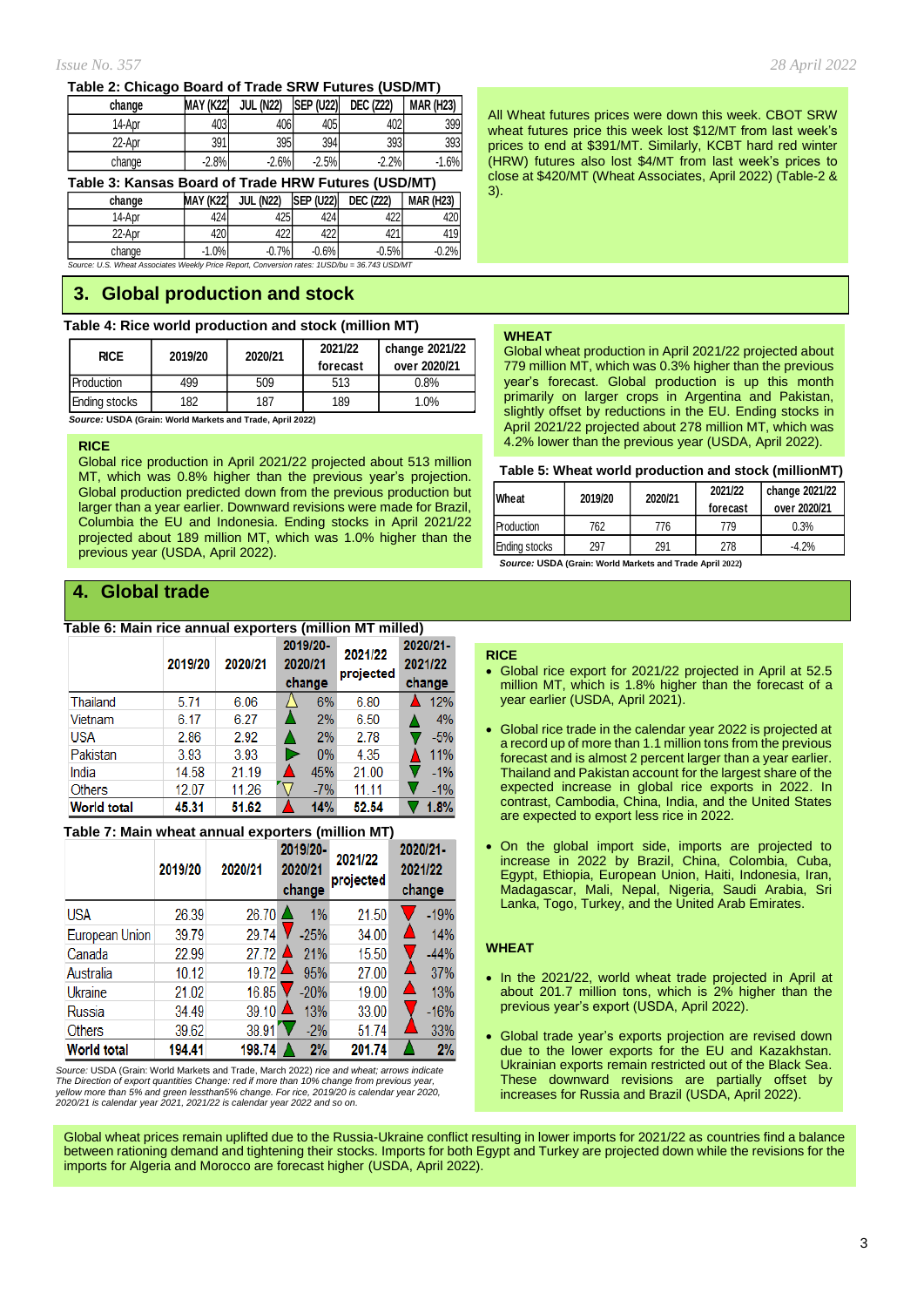#### *Issue No. 357 28 April 2022*

#### **Table 2: Chicago Board of Trade SRW Futures (USD/MT)**

| change | MAY (K22) | <b>JUL (N22)</b> | <b>ISEP (U22)</b> | <b>DEC (Z22)</b> | <b>MAR (H23)</b> |
|--------|-----------|------------------|-------------------|------------------|------------------|
| 14-Apr | 403       | 406              | 405               | 402              | 399              |
| 22-Apr | 391       | 395              | 394               | 393              | 393              |
| change | $-2.8%$   | $-2.6%$          | $-2.5%$           | $-2.2%$          | $-1.6%$          |

**Table 3: Kansas Board of Trade HRW Futures (USD/MT)**

**change MAY (K22) JUL (N22) SEP (U22) DEC (Z22) MAR (H23)** 14-Apr | 424 425 424 422 420 22-Apr | 420 422 422 421 421 419

*Source: U.S. Wheat Associates Weekly Price Report, Conversion rates: 1USD/bu = 36.743 USD/MT* change -1.0% -0.7% -0.6% -0.5% -0.2%

### **3. Global production and stock**

| Table 4: Rice world production and stock (million MT) |  |
|-------------------------------------------------------|--|
|                                                       |  |

| <b>RICE</b>   | 2019/20 | 2020/21 | 2021/22<br>forecast | change 2021/22<br>over 2020/21 |  |
|---------------|---------|---------|---------------------|--------------------------------|--|
| Production    | 499     | 509     | 513                 | 0.8%                           |  |
| Ending stocks | 182     | 187     | 189                 | 1.0%                           |  |

 *Source:* **USDA (Grain: World Markets and Trade, April 2022)**

#### **RICE**

Global rice production in April 2021/22 projected about 513 million MT, which was 0.8% higher than the previous year's projection. Global production predicted down from the previous production but larger than a year earlier. Downward revisions were made for Brazil, Columbia the EU and Indonesia. Ending stocks in April 2021/22 projected about 189 million MT, which was 1.0% higher than the previous year (USDA, April 2022).

## **4. Global trade**

#### **Table 6: Main rice annual exporters (million MT milled)**

|                    | 2019/20 | 2020/21 | 2019/20-<br>2020/21<br>change | 2021/22<br>projected | 2020/21-<br>2021/22<br>change |
|--------------------|---------|---------|-------------------------------|----------------------|-------------------------------|
| Thailand           | 5.71    | 6.06    | 6%                            | 6.80                 | 12%                           |
| Vietnam            | 6.17    | 6.27    | 2%                            | 6.50                 | 4%                            |
| <b>USA</b>         | 2.86    | 2.92    | 2%                            | 2.78                 | $-5%$                         |
| Pakistan           | 3.93    | 3.93    | $0\%$                         | 4.35                 | 11%                           |
| India              | 14.58   | 21.19   | 45%                           | 21.00                | $-1%$                         |
| <b>Others</b>      | 12.07   | 11.26   | $-7%$                         | 11.11                | $-1%$                         |
| <b>World total</b> | 45.31   | 51.62   | 14%                           | 52.54                | 1.8%                          |

#### **Table 7: Main wheat annual exporters (million MT)**

|                    | 2019/20 | 2020/21 | 2019/20-<br>2020/21<br>change | 2021/22<br>projected | 2020/21-<br>2021/22<br>change |
|--------------------|---------|---------|-------------------------------|----------------------|-------------------------------|
| <b>USA</b>         | 26.39   | 26.70   | 1%                            | 21.50                | $-19%$                        |
| European Union     | 39.79   | 29.74   | $-25%$                        | 34.00                | 14%                           |
| Canada             | 22.99   | 27.72   | 21%                           | 15.50                | $-44%$                        |
| Australia          | 10.12   | 19.72   | 95%                           | 27.00                | 37%                           |
| Ukraine            | 21.02   | 16.85   | $-20%$                        | 19.00                | Δ<br>13%                      |
| Russia             | 34.49   | 39.10   | 13%                           | 33.00                | $-16%$                        |
| Others             | 39.62   | 38.91   | $-2\%$                        | 51.74                | 33%                           |
| <b>World total</b> | 194.41  | 198.74  | 2%                            | 201.74               | 2%                            |

*Source:* USDA (Grain: World Markets and Trade, March 2022) *rice and wheat; arrows indicate The Direction of export quantities Change: red if more than 10% change from previous year,* yellow more than 5% and green lessthan5% change. For rice, 2019/20 is calendar year 2020,<br>2020/21 is calendar year 2021, 2021/22 is calendar year 2022 and so on. All Wheat futures prices were down this week. CBOT SRW wheat futures price this week lost \$12/MT from last week's prices to end at \$391/MT. Similarly, KCBT hard red winter (HRW) futures also lost \$4/MT from last week's prices to close at \$420/MT (Wheat Associates, April 2022) (Table-2 & 3).

#### **WHEAT**

Global wheat production in April 2021/22 projected about 779 million MT, which was 0.3% higher than the previous year's forecast. Global production is up this month primarily on larger crops in Argentina and Pakistan, slightly offset by reductions in the EU. Ending stocks in April 2021/22 projected about 278 million MT, which was 4.2% lower than the previous year (USDA, April 2022).

#### **Table 5: Wheat world production and stock (millionMT)**

| <b>Wheat</b>      | 2019/20 | 2021/22<br>2020/21<br>forecast |     | change 2021/22<br>over 2020/21 |
|-------------------|---------|--------------------------------|-----|--------------------------------|
| <b>Production</b> | 762     | 776                            | 779 | 0.3%                           |
| Ending stocks     | 297     | 291                            | 278 | $-4.2%$                        |

*Source:* **USDA (Grain: World Markets and Trade April 2022)**

#### **RICE**

- Global rice export for 2021/22 projected in April at 52.5 million MT, which is 1.8% higher than the forecast of a year earlier (USDA, April 2021).
- Global rice trade in the calendar year 2022 is projected at a record up of more than 1.1 million tons from the previous forecast and is almost 2 percent larger than a year earlier. Thailand and Pakistan account for the largest share of the expected increase in global rice exports in 2022. In contrast, Cambodia, China, India, and the United States are expected to export less rice in 2022.
- On the global import side, imports are projected to increase in 2022 by Brazil, China, Colombia, Cuba, Egypt, Ethiopia, European Union, Haiti, Indonesia, Iran, Madagascar, Mali, Nepal, Nigeria, Saudi Arabia, Sri Lanka, Togo, Turkey, and the United Arab Emirates.

#### **WHEAT**

- In the 2021/22, world wheat trade projected in April at about 201.7 million tons, which is 2% higher than the previous year's export (USDA, April 2022).
- Global trade year's exports projection are revised down due to the lower exports for the EU and Kazakhstan. Ukrainian exports remain restricted out of the Black Sea. These downward revisions are partially offset by increases for Russia and Brazil (USDA, April 2022).

Global wheat prices remain uplifted due to the Russia-Ukraine conflict resulting in lower imports for 2021/22 as countries find a balance between rationing demand and tightening their stocks. Imports for both Egypt and Turkey are projected down while the revisions for the imports for Algeria and Morocco are forecast higher (USDA, April 2022).